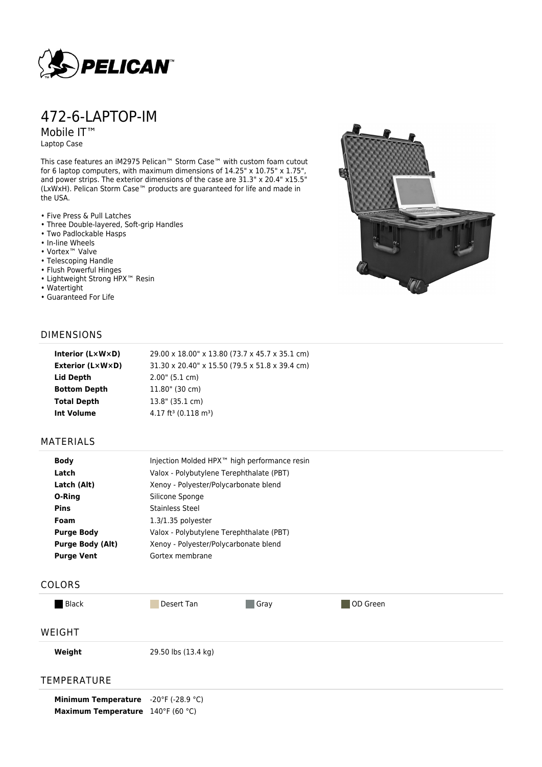

# 472-6-LAPTOP-IM

Mobile IT™ Laptop Case

This case features an iM2975 Pelican™ Storm Case™ with custom foam cutout for 6 laptop computers, with maximum dimensions of 14.25" x 10.75" x 1.75", and power strips. The exterior dimensions of the case are 31.3" x 20.4" x15.5" (LxWxH). Pelican Storm Case™ products are guaranteed for life and made in the USA.

- Five Press & Pull Latches
- Three Double-layered, Soft-grip Handles
- Two Padlockable Hasps
- In-line Wheels
- Vortex™ Valve
- Telescoping Handle
- Flush Powerful Hinges
- Lightweight Strong HPX™ Resin
- Watertight
- Guaranteed For Life



## DIMENSIONS

| Interior $(L \times W \times D)$ | 29.00 x 18.00" x 13.80 (73.7 x 45.7 x 35.1 cm) |
|----------------------------------|------------------------------------------------|
| Exterior (L×W×D)                 | 31.30 x 20.40" x 15.50 (79.5 x 51.8 x 39.4 cm) |
| Lid Depth                        | $2.00$ " (5.1 cm)                              |
| <b>Bottom Depth</b>              | 11.80" (30 cm)                                 |
| <b>Total Depth</b>               | $13.8"$ (35.1 cm)                              |
| Int Volume                       | $4.17$ ft <sup>3</sup> (0.118 m <sup>3</sup> ) |
|                                  |                                                |

#### MATERIALS

| <b>Body</b>             | Injection Molded HPX <sup>™</sup> high performance resin |
|-------------------------|----------------------------------------------------------|
| Latch                   | Valox - Polybutylene Terephthalate (PBT)                 |
| Latch (Alt)             | Xenoy - Polyester/Polycarbonate blend                    |
| O-Ring                  | Silicone Sponge                                          |
| <b>Pins</b>             | Stainless Steel                                          |
| Foam                    | $1.3/1.35$ polyester                                     |
| <b>Purge Body</b>       | Valox - Polybutylene Terephthalate (PBT)                 |
| <b>Purge Body (Alt)</b> | Xenoy - Polyester/Polycarbonate blend                    |
| <b>Purge Vent</b>       | Gortex membrane                                          |

## COLORS

**Black** Desert Tan Gray OD Green

### WEIGHT

**Weight** 29.50 lbs (13.4 kg)

## **TEMPERATURE**

**Minimum Temperature** -20°F (-28.9 °C) **Maximum Temperature** 140°F (60 °C)